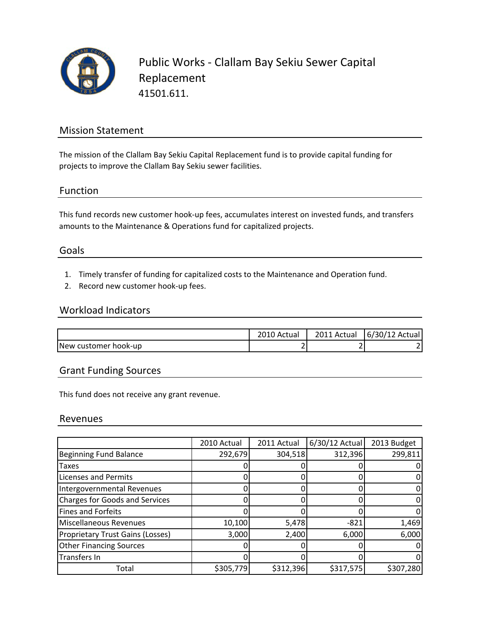

Public Works ‐ Clallam Bay Sekiu Sewer Capital Replacement 41501.611.

## Mission Statement

The mission of the Clallam Bay Sekiu Capital Replacement fund is to provide capital funding for projects to improve the Clallam Bay Sekiu sewer facilities.

## Function

This fund records new customer hook‐up fees, accumulates interest on invested funds, and transfers amounts to the Maintenance & Operations fund for capitalized projects.

### Goals

- 1. Timely transfer of funding for capitalized costs to the Maintenance and Operation fund.
- 2. Record new customer hook‐up fees.

### Workload Indicators

|                      | 2010 Actual   | 2011 Actual | 6/30/12 Actual |
|----------------------|---------------|-------------|----------------|
| New customer hook-up | ◚<br><u>.</u> |             |                |

## Grant Funding Sources

This fund does not receive any grant revenue.

### Revenues

|                                         | 2010 Actual | 2011 Actual | $6/30/12$ Actual | 2013 Budget |
|-----------------------------------------|-------------|-------------|------------------|-------------|
| <b>Beginning Fund Balance</b>           | 292,679     | 304,518     | 312,396          | 299,811     |
| <b>Taxes</b>                            |             |             |                  |             |
| <b>Licenses and Permits</b>             |             |             |                  |             |
| Intergovernmental Revenues              |             |             |                  |             |
| <b>Charges for Goods and Services</b>   |             |             |                  |             |
| <b>Fines and Forfeits</b>               |             |             |                  |             |
| Miscellaneous Revenues                  | 10,100      | 5,478       | $-821$           | 1,469       |
| <b>Proprietary Trust Gains (Losses)</b> | 3,000       | 2,400       | 6,000            | 6,000       |
| <b>Other Financing Sources</b>          |             |             |                  |             |
| Transfers In                            |             |             |                  |             |
| Total                                   | \$305,779   | \$312,396   | \$317,575        | \$307,280   |